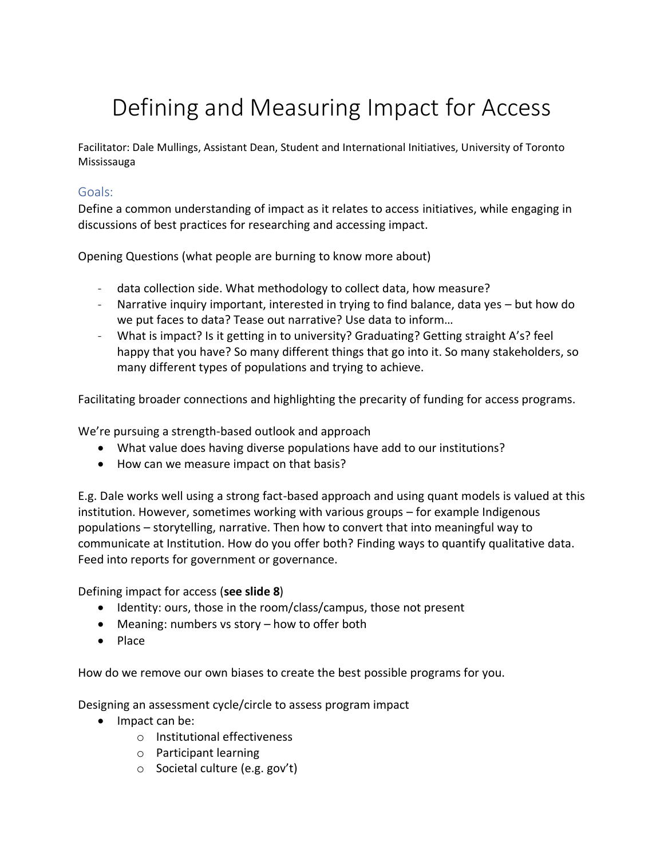# Defining and Measuring Impact for Access

Facilitator: Dale Mullings, Assistant Dean, Student and International Initiatives, University of Toronto Mississauga

## Goals:

Define a common understanding of impact as it relates to access initiatives, while engaging in discussions of best practices for researching and accessing impact.

Opening Questions (what people are burning to know more about)

- data collection side. What methodology to collect data, how measure?
- Narrative inquiry important, interested in trying to find balance, data yes but how do we put faces to data? Tease out narrative? Use data to inform…
- What is impact? Is it getting in to university? Graduating? Getting straight A's? feel happy that you have? So many different things that go into it. So many stakeholders, so many different types of populations and trying to achieve.

Facilitating broader connections and highlighting the precarity of funding for access programs.

We're pursuing a strength-based outlook and approach

- What value does having diverse populations have add to our institutions?
- How can we measure impact on that basis?

E.g. Dale works well using a strong fact-based approach and using quant models is valued at this institution. However, sometimes working with various groups – for example Indigenous populations – storytelling, narrative. Then how to convert that into meaningful way to communicate at Institution. How do you offer both? Finding ways to quantify qualitative data. Feed into reports for government or governance.

Defining impact for access (**see slide 8**)

- Identity: ours, those in the room/class/campus, those not present
- Meaning: numbers vs story how to offer both
- Place

How do we remove our own biases to create the best possible programs for you.

Designing an assessment cycle/circle to assess program impact

- Impact can be:
	- o Institutional effectiveness
	- o Participant learning
	- o Societal culture (e.g. gov't)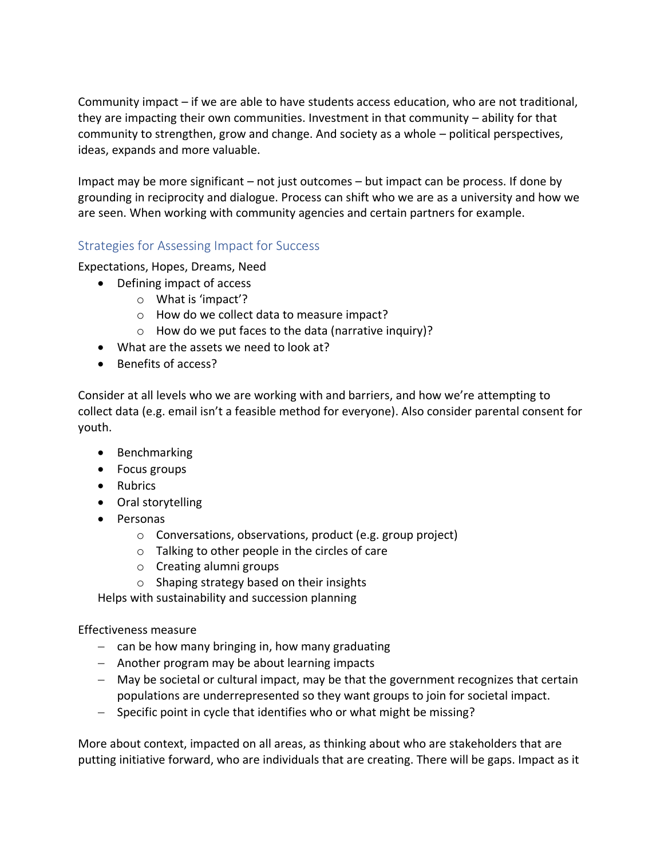Community impact – if we are able to have students access education, who are not traditional, they are impacting their own communities. Investment in that community – ability for that community to strengthen, grow and change. And society as a whole – political perspectives, ideas, expands and more valuable.

Impact may be more significant – not just outcomes – but impact can be process. If done by grounding in reciprocity and dialogue. Process can shift who we are as a university and how we are seen. When working with community agencies and certain partners for example.

# Strategies for Assessing Impact for Success

Expectations, Hopes, Dreams, Need

- Defining impact of access
	- o What is 'impact'?
	- o How do we collect data to measure impact?
	- $\circ$  How do we put faces to the data (narrative inquiry)?
- What are the assets we need to look at?
- Benefits of access?

Consider at all levels who we are working with and barriers, and how we're attempting to collect data (e.g. email isn't a feasible method for everyone). Also consider parental consent for youth.

- Benchmarking
- Focus groups
- Rubrics
- Oral storytelling
- Personas
	- o Conversations, observations, product (e.g. group project)
	- o Talking to other people in the circles of care
	- o Creating alumni groups
	- o Shaping strategy based on their insights

Helps with sustainability and succession planning

Effectiveness measure

- − can be how many bringing in, how many graduating
- − Another program may be about learning impacts
- − May be societal or cultural impact, may be that the government recognizes that certain populations are underrepresented so they want groups to join for societal impact.
- − Specific point in cycle that identifies who or what might be missing?

More about context, impacted on all areas, as thinking about who are stakeholders that are putting initiative forward, who are individuals that are creating. There will be gaps. Impact as it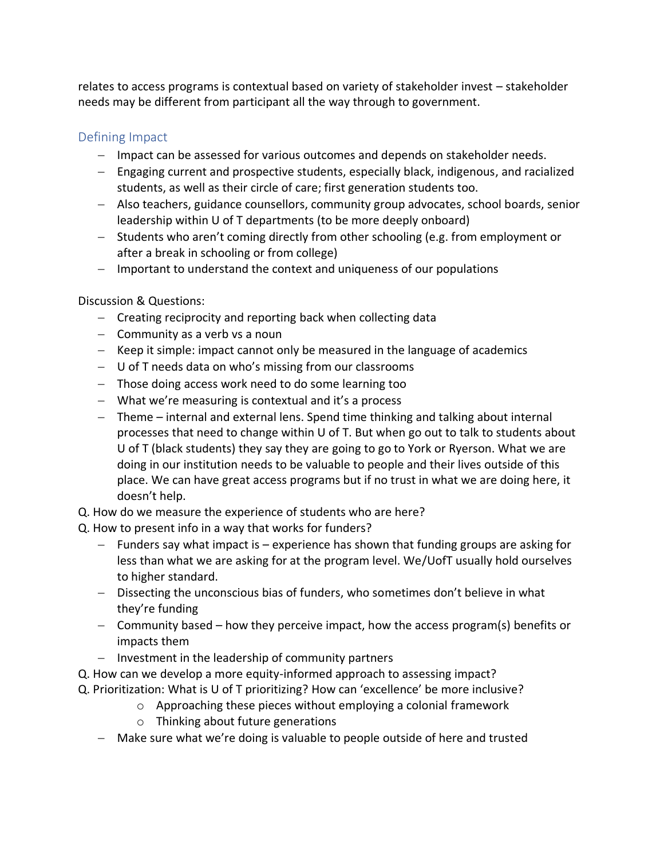relates to access programs is contextual based on variety of stakeholder invest – stakeholder needs may be different from participant all the way through to government.

# Defining Impact

- − Impact can be assessed for various outcomes and depends on stakeholder needs.
- − Engaging current and prospective students, especially black, indigenous, and racialized students, as well as their circle of care; first generation students too.
- − Also teachers, guidance counsellors, community group advocates, school boards, senior leadership within U of T departments (to be more deeply onboard)
- − Students who aren't coming directly from other schooling (e.g. from employment or after a break in schooling or from college)
- − Important to understand the context and uniqueness of our populations

# Discussion & Questions:

- − Creating reciprocity and reporting back when collecting data
- − Community as a verb vs a noun
- − Keep it simple: impact cannot only be measured in the language of academics
- − U of T needs data on who's missing from our classrooms
- − Those doing access work need to do some learning too
- − What we're measuring is contextual and it's a process
- − Theme internal and external lens. Spend time thinking and talking about internal processes that need to change within U of T. But when go out to talk to students about U of T (black students) they say they are going to go to York or Ryerson. What we are doing in our institution needs to be valuable to people and their lives outside of this place. We can have great access programs but if no trust in what we are doing here, it doesn't help.
- Q. How do we measure the experience of students who are here?
- Q. How to present info in a way that works for funders?
	- − Funders say what impact is experience has shown that funding groups are asking for less than what we are asking for at the program level. We/UofT usually hold ourselves to higher standard.
	- − Dissecting the unconscious bias of funders, who sometimes don't believe in what they're funding
	- − Community based how they perceive impact, how the access program(s) benefits or impacts them
	- − Investment in the leadership of community partners
- Q. How can we develop a more equity-informed approach to assessing impact?
- Q. Prioritization: What is U of T prioritizing? How can 'excellence' be more inclusive?
	- o Approaching these pieces without employing a colonial framework
		- o Thinking about future generations
	- − Make sure what we're doing is valuable to people outside of here and trusted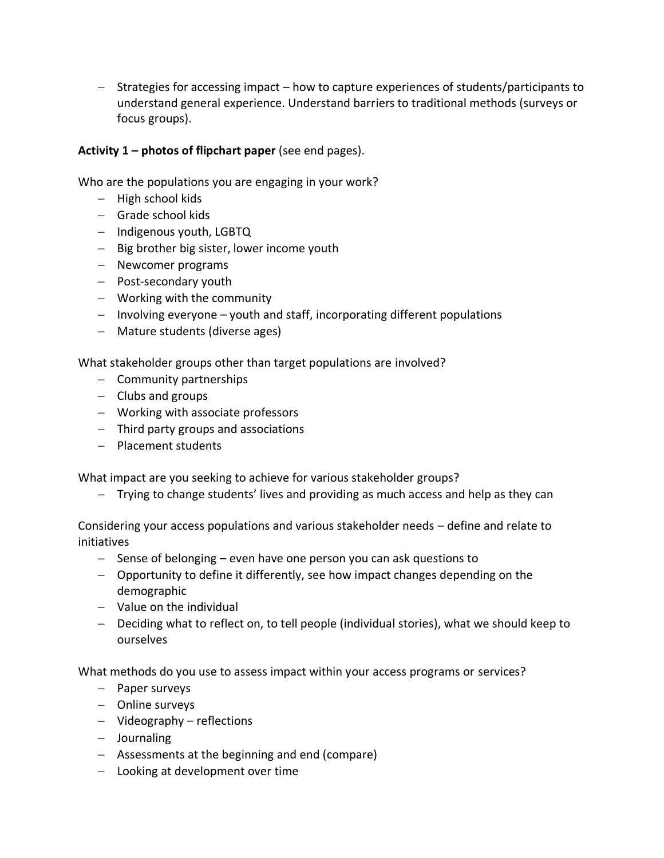− Strategies for accessing impact – how to capture experiences of students/participants to understand general experience. Understand barriers to traditional methods (surveys or focus groups).

### **Activity 1 – photos of flipchart paper** (see end pages).

Who are the populations you are engaging in your work?

- − High school kids
- − Grade school kids
- − Indigenous youth, LGBTQ
- − Big brother big sister, lower income youth
- − Newcomer programs
- − Post-secondary youth
- − Working with the community
- − Involving everyone youth and staff, incorporating different populations
- − Mature students (diverse ages)

What stakeholder groups other than target populations are involved?

- − Community partnerships
- − Clubs and groups
- − Working with associate professors
- − Third party groups and associations
- − Placement students

What impact are you seeking to achieve for various stakeholder groups?

− Trying to change students' lives and providing as much access and help as they can

Considering your access populations and various stakeholder needs – define and relate to initiatives

- − Sense of belonging even have one person you can ask questions to
- − Opportunity to define it differently, see how impact changes depending on the demographic
- − Value on the individual
- − Deciding what to reflect on, to tell people (individual stories), what we should keep to ourselves

What methods do you use to assess impact within your access programs or services?

- − Paper surveys
- − Online surveys
- − Videography reflections
- − Journaling
- − Assessments at the beginning and end (compare)
- − Looking at development over time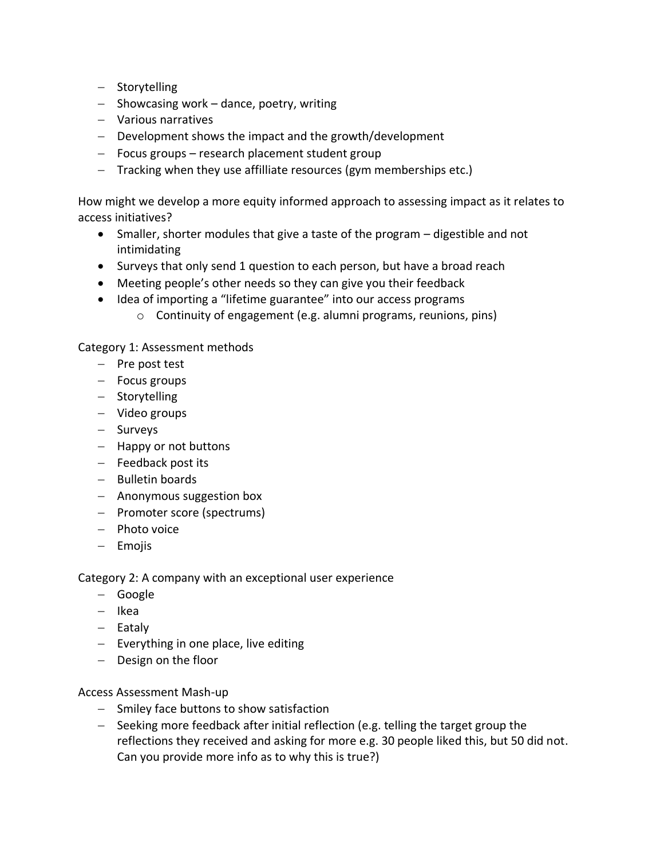- − Storytelling
- − Showcasing work dance, poetry, writing
- − Various narratives
- − Development shows the impact and the growth/development
- − Focus groups research placement student group
- − Tracking when they use affilliate resources (gym memberships etc.)

How might we develop a more equity informed approach to assessing impact as it relates to access initiatives?

- Smaller, shorter modules that give a taste of the program digestible and not intimidating
- Surveys that only send 1 question to each person, but have a broad reach
- Meeting people's other needs so they can give you their feedback
- Idea of importing a "lifetime guarantee" into our access programs
	- o Continuity of engagement (e.g. alumni programs, reunions, pins)

Category 1: Assessment methods

- − Pre post test
- − Focus groups
- − Storytelling
- − Video groups
- − Surveys
- − Happy or not buttons
- − Feedback post its
- − Bulletin boards
- − Anonymous suggestion box
- − Promoter score (spectrums)
- − Photo voice
- − Emojis

Category 2: A company with an exceptional user experience

- − Google
- − Ikea
- − Eataly
- − Everything in one place, live editing
- − Design on the floor

Access Assessment Mash-up

- − Smiley face buttons to show satisfaction
- − Seeking more feedback after initial reflection (e.g. telling the target group the reflections they received and asking for more e.g. 30 people liked this, but 50 did not. Can you provide more info as to why this is true?)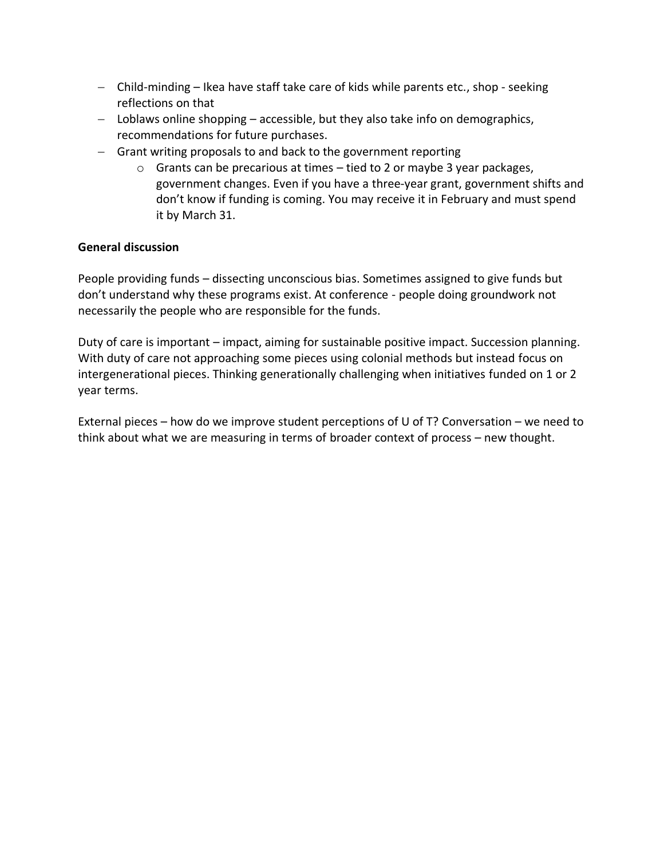- − Child-minding Ikea have staff take care of kids while parents etc., shop seeking reflections on that
- − Loblaws online shopping accessible, but they also take info on demographics, recommendations for future purchases.
- − Grant writing proposals to and back to the government reporting
	- $\circ$  Grants can be precarious at times tied to 2 or maybe 3 year packages, government changes. Even if you have a three-year grant, government shifts and don't know if funding is coming. You may receive it in February and must spend it by March 31.

#### **General discussion**

People providing funds – dissecting unconscious bias. Sometimes assigned to give funds but don't understand why these programs exist. At conference - people doing groundwork not necessarily the people who are responsible for the funds.

Duty of care is important – impact, aiming for sustainable positive impact. Succession planning. With duty of care not approaching some pieces using colonial methods but instead focus on intergenerational pieces. Thinking generationally challenging when initiatives funded on 1 or 2 year terms.

External pieces – how do we improve student perceptions of U of T? Conversation – we need to think about what we are measuring in terms of broader context of process – new thought.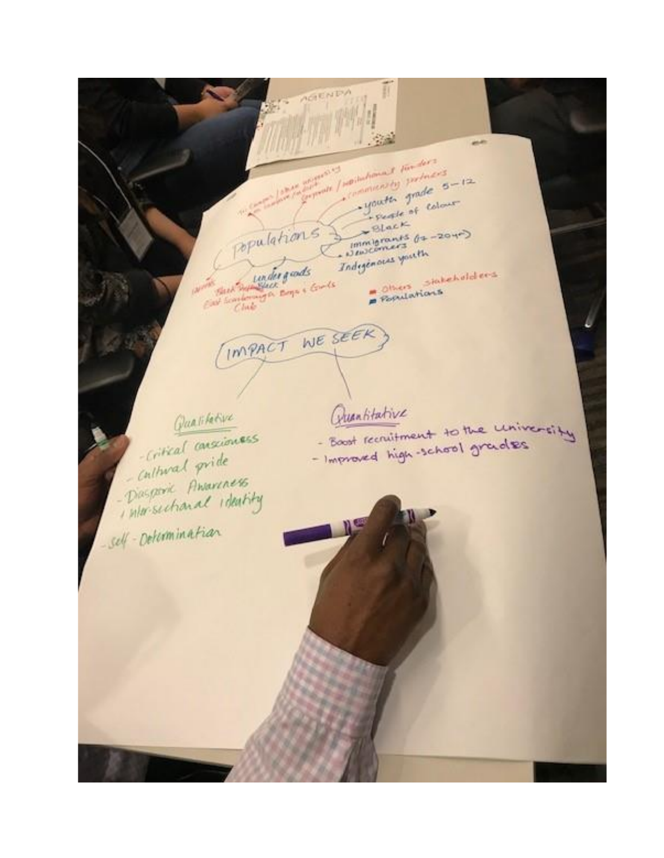AGENDA Đ ner / mortalamant sin ders **MANAGE** mining princes youth grade 5-12 - Feather of Colour  $\rightarrow$ Black apulations?  $\frac{1}{2}$ <br> $\frac{1}{2}$ <br> $\frac{1}{2}$ <br> $\frac{1}{2}$ <br> $\frac{1}{2}$ <br> $\frac{1}{2}$ <br> $\frac{1}{2}$ <br> $\frac{1}{2}$ <br> $\frac{1}{2}$ <br> $\frac{1}{2}$ <br> $\frac{1}{2}$ <br><br> $\frac{1}{2}$ <br><br><br><br><br><br><br><br><br><br><br><br><br><br><br><br><br> Indegeneral youth pour sur lunder quade Boulations IMPACT WE SEEK Quantitative Qualifative - Boot recruitment to the university -critical consciouses - Improved high-school grades - Cultural pride - Diasporie Amareness intersectional ideality Self-Determination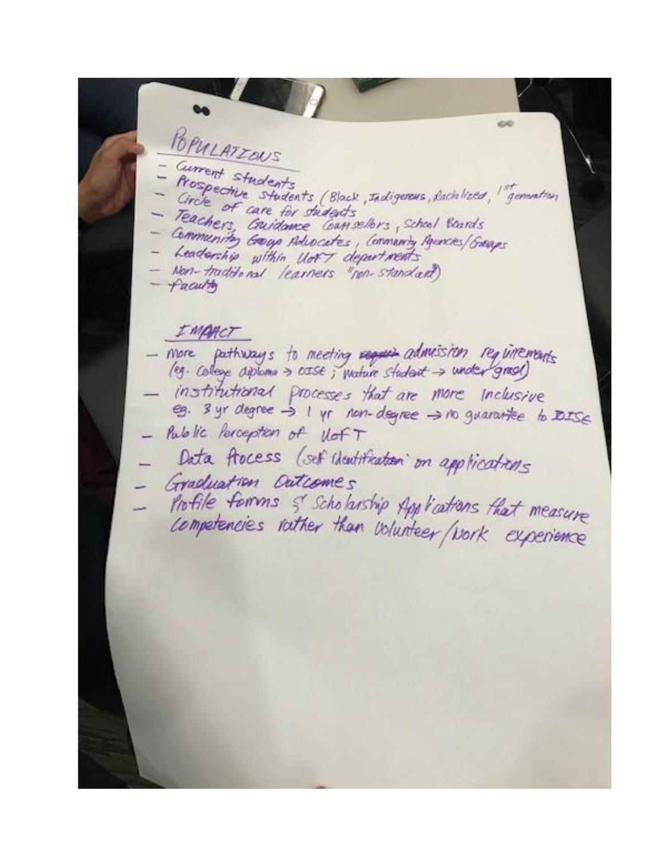630 POPULATIONS Current students Prospective students (Black, Indigenus, Rachlized, <sup>1 st</sup>emention<br>Circle of care for students<br>Tonne of care for students Teachers, Cavidance Commellers, School Boards Community Group Advocates, Community Agencies/Groups Leadership within llot's departments Non-traditional learners "non-standard) faculty IMPACT - more pathways to meeting require admision requirements institutional processes that are more inclusive eg. 3 yr degree > 1 yr non-degree > no guarantee to DISE . Public Perception of VofT Data flocess (set identification on applications Graduation Outcomes Profile forms & Scholarship Applications that measure competencies rather than volunteer (vork experience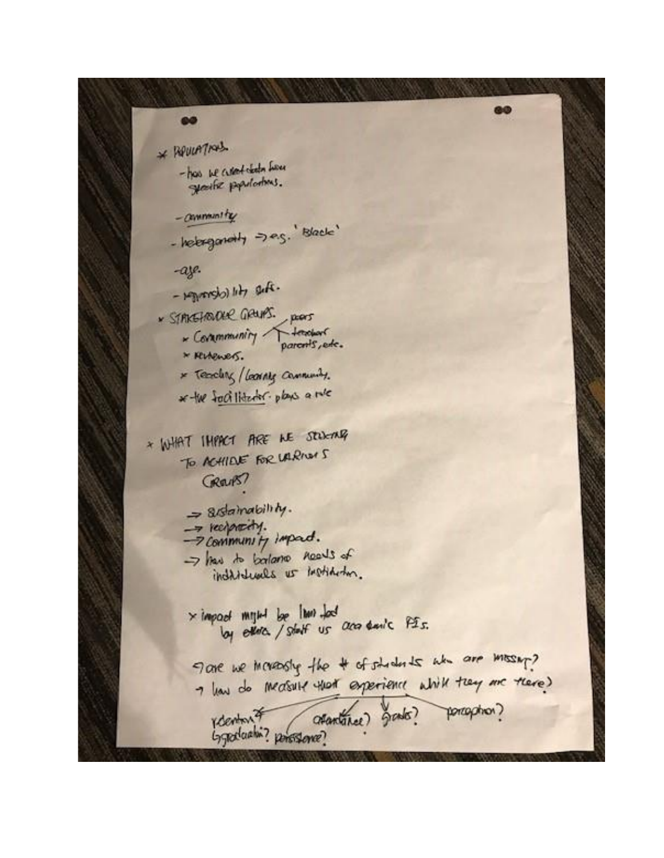\* RevierThand

60

- has be current chich from gearter populations.

- community

- helerganoty =>e.g. 'Black'

-aze.

-  $H_{\text{M}}$  (denoted -

· STAKEHOURKE GRUPS. pors

- Community feaster

\* Reteners.

\* Teaching / Learning Community.

\* the factilitation plans a rule

\* WHAT IMPACT ARE ME STOKING To ACHIEVE FOR LARING GREUPS?

> $=$  8/statutoility. -> reciprocity. -7 Community impact. -> has to balance needs of individuals us institution.

 $\times$  impact might be  $\lfloor$  km  $\rfloor$  bod by ever / staff us are sails PIS.

Tare we meansly the # of students who are moseny? I have do measure that experience while they are there) recenture (atantance) grade? porception?

**GO**